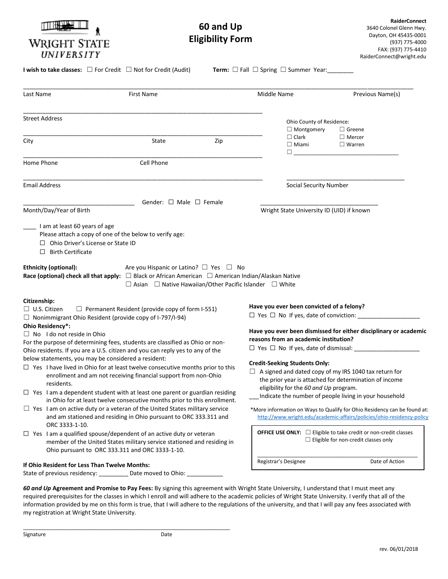| WRIGHT STATE<br>UNIVERSITY                                                                                                                                                                                                                                                                                                                                                                                                                                                         | 60 and Up<br><b>Eligibility Form</b>                                                                                        |     |                                                                                                                                                                                                                                                                                                                                                | <b>RaiderConnect</b><br>3640 Colonel Glenn Hwy.<br>Dayton, OH 45435-0001<br>(937) 775-4000<br>FAX: (937) 775-4410<br>RaiderConnect@wright.edu |
|------------------------------------------------------------------------------------------------------------------------------------------------------------------------------------------------------------------------------------------------------------------------------------------------------------------------------------------------------------------------------------------------------------------------------------------------------------------------------------|-----------------------------------------------------------------------------------------------------------------------------|-----|------------------------------------------------------------------------------------------------------------------------------------------------------------------------------------------------------------------------------------------------------------------------------------------------------------------------------------------------|-----------------------------------------------------------------------------------------------------------------------------------------------|
| <b>I wish to take classes:</b> $\Box$ For Credit $\Box$ Not for Credit (Audit)                                                                                                                                                                                                                                                                                                                                                                                                     |                                                                                                                             |     | <b>Term:</b> $\Box$ Fall $\Box$ Spring $\Box$ Summer Year:                                                                                                                                                                                                                                                                                     |                                                                                                                                               |
| Last Name                                                                                                                                                                                                                                                                                                                                                                                                                                                                          | <b>First Name</b>                                                                                                           |     | Middle Name                                                                                                                                                                                                                                                                                                                                    | Previous Name(s)                                                                                                                              |
| <b>Street Address</b>                                                                                                                                                                                                                                                                                                                                                                                                                                                              |                                                                                                                             |     | Ohio County of Residence:<br>$\Box$ Montgomery<br>$\Box$ Greene                                                                                                                                                                                                                                                                                |                                                                                                                                               |
| City                                                                                                                                                                                                                                                                                                                                                                                                                                                                               | State                                                                                                                       | Zip | $\Box$ Clark<br>$\Box$ Miami<br>$\Box$                                                                                                                                                                                                                                                                                                         | $\Box$ Mercer<br>$\Box$ Warren                                                                                                                |
| Home Phone                                                                                                                                                                                                                                                                                                                                                                                                                                                                         | Cell Phone                                                                                                                  |     |                                                                                                                                                                                                                                                                                                                                                |                                                                                                                                               |
| <b>Email Address</b>                                                                                                                                                                                                                                                                                                                                                                                                                                                               |                                                                                                                             |     | Social Security Number                                                                                                                                                                                                                                                                                                                         |                                                                                                                                               |
| Month/Day/Year of Birth<br>I am at least 60 years of age<br>Please attach a copy of one of the below to verify age:<br>$\Box$ Ohio Driver's License or State ID<br>$\Box$ Birth Certificate                                                                                                                                                                                                                                                                                        |                                                                                                                             |     | Wright State University ID (UID) if known                                                                                                                                                                                                                                                                                                      |                                                                                                                                               |
| <b>Ethnicity (optional):</b><br>Race (optional) check all that apply: $\Box$ Black or African American $\Box$ American Indian/Alaskan Native                                                                                                                                                                                                                                                                                                                                       | Are you Hispanic or Latino? $\Box$ Yes $\Box$ No<br>$\Box$ Asian $\Box$ Native Hawaiian/Other Pacific Islander $\Box$ White |     |                                                                                                                                                                                                                                                                                                                                                |                                                                                                                                               |
| Citizenship:<br>$\Box$ Permanent Resident (provide copy of form I-551)<br>$\Box$ U.S. Citizen<br>$\Box$ Nonimmigrant Ohio Resident (provide copy of I-797/I-94)<br>Ohio Residency*:                                                                                                                                                                                                                                                                                                |                                                                                                                             |     | Have you ever been convicted of a felony?<br>$\Box$ Yes $\Box$ No If yes, date of conviction:                                                                                                                                                                                                                                                  |                                                                                                                                               |
| $\Box$ No I do not reside in Ohio<br>For the purpose of determining fees, students are classified as Ohio or non-<br>Ohio residents. If you are a U.S. citizen and you can reply yes to any of the                                                                                                                                                                                                                                                                                 |                                                                                                                             |     | Have you ever been dismissed for either disciplinary or academic<br>reasons from an academic institution?<br>$\Box$ Yes $\Box$ No If yes, date of dismissal:                                                                                                                                                                                   |                                                                                                                                               |
| below statements, you may be considered a resident:<br>$\Box$ Yes I have lived in Ohio for at least twelve consecutive months prior to this<br>enrollment and am not receiving financial support from non-Ohio<br>residents.<br>$\Box$ Yes I am a dependent student with at least one parent or guardian residing<br>in Ohio for at least twelve consecutive months prior to this enrollment.<br>$\Box$ Yes I am on active duty or a veteran of the United States military service |                                                                                                                             |     | <b>Credit-Seeking Students Only:</b><br>$\Box$ A signed and dated copy of my IRS 1040 tax return for<br>the prior year is attached for determination of income<br>eligibility for the 60 and Up program.<br>Indicate the number of people living in your household<br>*More information on Ways to Qualify for Ohio Residency can be found at: |                                                                                                                                               |
| and am stationed and residing in Ohio pursuant to ORC 333.311 and<br>ORC 3333-1-10.<br>$\Box$ Yes I am a qualified spouse/dependent of an active duty or veteran<br>member of the United States military service stationed and residing in<br>Ohio pursuant to ORC 333.311 and ORC 3333-1-10.                                                                                                                                                                                      |                                                                                                                             |     | http://www.wright.edu/academic-affairs/policies/ohio-residency-policy<br><b>OFFICE USE ONLY:</b> $\Box$ Eligible to take credit or non-credit classes<br>$\Box$ Eligible for non-credit classes only                                                                                                                                           |                                                                                                                                               |
| If Ohio Resident for Less Than Twelve Months:<br>State of previous residency: __________ Date moved to Ohio: ____________                                                                                                                                                                                                                                                                                                                                                          |                                                                                                                             |     | Registrar's Designee                                                                                                                                                                                                                                                                                                                           | Date of Action                                                                                                                                |

*60 and Up* **Agreement and Promise to Pay Fees:** By signing this agreement with Wright State University, I understand that I must meet any required prerequisites for the classes in which I enroll and will adhere to the academic policies of Wright State University. I verify that all of the information provided by me on this form is true, that I will adhere to the regulations of the university, and that I will pay any fees associated with my registration at Wright State University.

\_\_\_\_\_\_\_\_\_\_\_\_\_\_\_\_\_\_\_\_\_\_\_\_\_\_\_\_\_\_\_\_\_\_\_\_\_\_\_\_\_\_\_\_\_\_\_\_\_\_\_\_\_\_\_\_\_\_\_\_\_\_\_\_\_\_\_\_\_\_\_